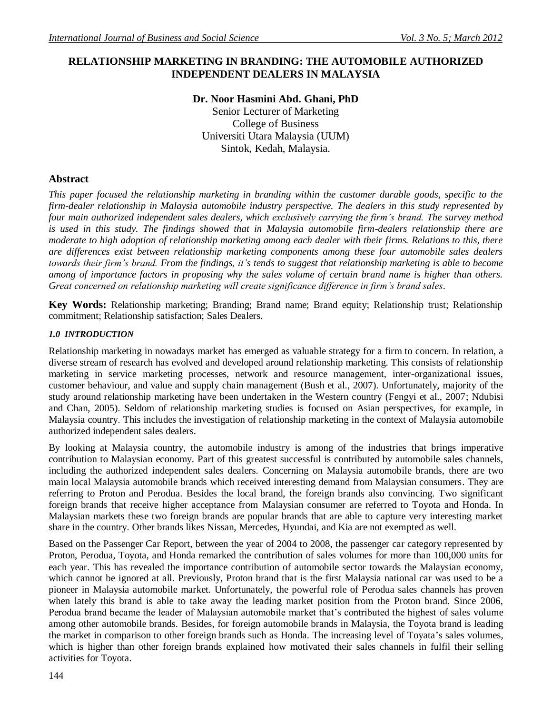# **RELATIONSHIP MARKETING IN BRANDING: THE AUTOMOBILE AUTHORIZED INDEPENDENT DEALERS IN MALAYSIA**

# **Dr. Noor Hasmini Abd. Ghani, PhD**

Senior Lecturer of Marketing College of Business Universiti Utara Malaysia (UUM) Sintok, Kedah, Malaysia.

# **Abstract**

*This paper focused the relationship marketing in branding within the customer durable goods, specific to the firm-dealer relationship in Malaysia automobile industry perspective. The dealers in this study represented by four main authorized independent sales dealers, which exclusively carrying the firm's brand. The survey method is used in this study. The findings showed that in Malaysia automobile firm-dealers relationship there are moderate to high adoption of relationship marketing among each dealer with their firms. Relations to this, there are differences exist between relationship marketing components among these four automobile sales dealers towards their firm's brand. From the findings, it's tends to suggest that relationship marketing is able to become among of importance factors in proposing why the sales volume of certain brand name is higher than others. Great concerned on relationship marketing will create significance difference in firm's brand sales.*

**Key Words:** Relationship marketing; Branding; Brand name; Brand equity; Relationship trust; Relationship commitment; Relationship satisfaction; Sales Dealers.

# *1.0 INTRODUCTION*

Relationship marketing in nowadays market has emerged as valuable strategy for a firm to concern. In relation, a diverse stream of research has evolved and developed around relationship marketing. This consists of relationship marketing in service marketing processes, network and resource management, inter-organizational issues, customer behaviour, and value and supply chain management (Bush et al., 2007). Unfortunately, majority of the study around relationship marketing have been undertaken in the Western country (Fengyi et al., 2007; Ndubisi and Chan, 2005). Seldom of relationship marketing studies is focused on Asian perspectives, for example, in Malaysia country. This includes the investigation of relationship marketing in the context of Malaysia automobile authorized independent sales dealers.

By looking at Malaysia country, the automobile industry is among of the industries that brings imperative contribution to Malaysian economy. Part of this greatest successful is contributed by automobile sales channels, including the authorized independent sales dealers. Concerning on Malaysia automobile brands, there are two main local Malaysia automobile brands which received interesting demand from Malaysian consumers. They are referring to Proton and Perodua. Besides the local brand, the foreign brands also convincing. Two significant foreign brands that receive higher acceptance from Malaysian consumer are referred to Toyota and Honda. In Malaysian markets these two foreign brands are popular brands that are able to capture very interesting market share in the country. Other brands likes Nissan, Mercedes, Hyundai, and Kia are not exempted as well.

Based on the Passenger Car Report, between the year of 2004 to 2008, the passenger car category represented by Proton, Perodua, Toyota, and Honda remarked the contribution of sales volumes for more than 100,000 units for each year. This has revealed the importance contribution of automobile sector towards the Malaysian economy, which cannot be ignored at all. Previously, Proton brand that is the first Malaysia national car was used to be a pioneer in Malaysia automobile market. Unfortunately, the powerful role of Perodua sales channels has proven when lately this brand is able to take away the leading market position from the Proton brand. Since 2006, Perodua brand became the leader of Malaysian automobile market that's contributed the highest of sales volume among other automobile brands. Besides, for foreign automobile brands in Malaysia, the Toyota brand is leading the market in comparison to other foreign brands such as Honda. The increasing level of Toyata's sales volumes, which is higher than other foreign brands explained how motivated their sales channels in fulfil their selling activities for Toyota.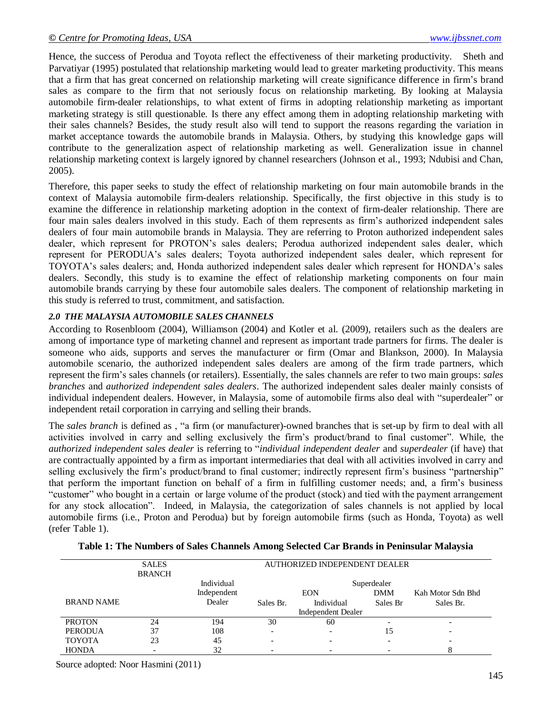Hence, the success of Perodua and Toyota reflect the effectiveness of their marketing productivity. Sheth and Parvatiyar (1995) postulated that relationship marketing would lead to greater marketing productivity. This means that a firm that has great concerned on relationship marketing will create significance difference in firm"s brand sales as compare to the firm that not seriously focus on relationship marketing. By looking at Malaysia automobile firm-dealer relationships, to what extent of firms in adopting relationship marketing as important marketing strategy is still questionable. Is there any effect among them in adopting relationship marketing with their sales channels? Besides, the study result also will tend to support the reasons regarding the variation in market acceptance towards the automobile brands in Malaysia. Others, by studying this knowledge gaps will contribute to the generalization aspect of relationship marketing as well. Generalization issue in channel relationship marketing context is largely ignored by channel researchers (Johnson et al., 1993; Ndubisi and Chan, 2005).

Therefore, this paper seeks to study the effect of relationship marketing on four main automobile brands in the context of Malaysia automobile firm-dealers relationship. Specifically, the first objective in this study is to examine the difference in relationship marketing adoption in the context of firm-dealer relationship. There are four main sales dealers involved in this study. Each of them represents as firm"s authorized independent sales dealers of four main automobile brands in Malaysia. They are referring to Proton authorized independent sales dealer, which represent for PROTON"s sales dealers; Perodua authorized independent sales dealer, which represent for PERODUA"s sales dealers; Toyota authorized independent sales dealer, which represent for TOYOTA"s sales dealers; and, Honda authorized independent sales dealer which represent for HONDA"s sales dealers. Secondly, this study is to examine the effect of relationship marketing components on four main automobile brands carrying by these four automobile sales dealers. The component of relationship marketing in this study is referred to trust, commitment, and satisfaction.

# *2.0 THE MALAYSIA AUTOMOBILE SALES CHANNELS*

According to Rosenbloom (2004), Williamson (2004) and Kotler et al. (2009), retailers such as the dealers are among of importance type of marketing channel and represent as important trade partners for firms. The dealer is someone who aids, supports and serves the manufacturer or firm (Omar and Blankson, 2000). In Malaysia automobile scenario, the authorized independent sales dealers are among of the firm trade partners, which represent the firm"s sales channels (or retailers). Essentially, the sales channels are refer to two main groups: *sales branches* and *authorized independent sales dealers*. The authorized independent sales dealer mainly consists of individual independent dealers. However, in Malaysia, some of automobile firms also deal with "superdealer" or independent retail corporation in carrying and selling their brands.

The *sales branch* is defined as , "a firm (or manufacturer)-owned branches that is set-up by firm to deal with all activities involved in carry and selling exclusively the firm"s product/brand to final customer". While, the *authorized independent sales dealer* is referring to "*individual independent dealer* and *superdealer* (if have) that are contractually appointed by a firm as important intermediaries that deal with all activities involved in carry and selling exclusively the firm's product/brand to final customer; indirectly represent firm's business "partnership" that perform the important function on behalf of a firm in fulfilling customer needs; and, a firm"s business "customer" who bought in a certain or large volume of the product (stock) and tied with the payment arrangement for any stock allocation". Indeed, in Malaysia, the categorization of sales channels is not applied by local automobile firms (i.e., Proton and Perodua) but by foreign automobile firms (such as Honda, Toyota) as well (refer Table 1).

|                   | <b>SALES</b><br><b>BRANCH</b> | AUTHORIZED INDEPENDENT DEALER |                          |                          |            |                          |  |  |  |
|-------------------|-------------------------------|-------------------------------|--------------------------|--------------------------|------------|--------------------------|--|--|--|
|                   |                               | Individual                    |                          |                          |            |                          |  |  |  |
|                   |                               | Independent                   |                          | <b>EON</b>               | <b>DMM</b> | Kah Motor Sdn Bhd        |  |  |  |
| <b>BRAND NAME</b> |                               | Dealer                        | Sales Br.                | Individual               | Sales Br   | Sales Br.                |  |  |  |
|                   |                               |                               | Independent Dealer       |                          |            |                          |  |  |  |
| <b>PROTON</b>     | 24                            | 194                           | 30                       | 60                       |            | $\overline{\phantom{0}}$ |  |  |  |
| <b>PERODUA</b>    | 37                            | 108                           | $\overline{\phantom{a}}$ | $\overline{\phantom{0}}$ | 15         | $\overline{\phantom{0}}$ |  |  |  |
| <b>TOYOTA</b>     | 23                            | 45                            | $\overline{\phantom{0}}$ |                          |            | $\overline{\phantom{0}}$ |  |  |  |
| <b>HONDA</b>      | $\qquad \qquad$               | 32                            |                          |                          |            |                          |  |  |  |

### **Table 1: The Numbers of Sales Channels Among Selected Car Brands in Peninsular Malaysia**

Source adopted: Noor Hasmini (2011)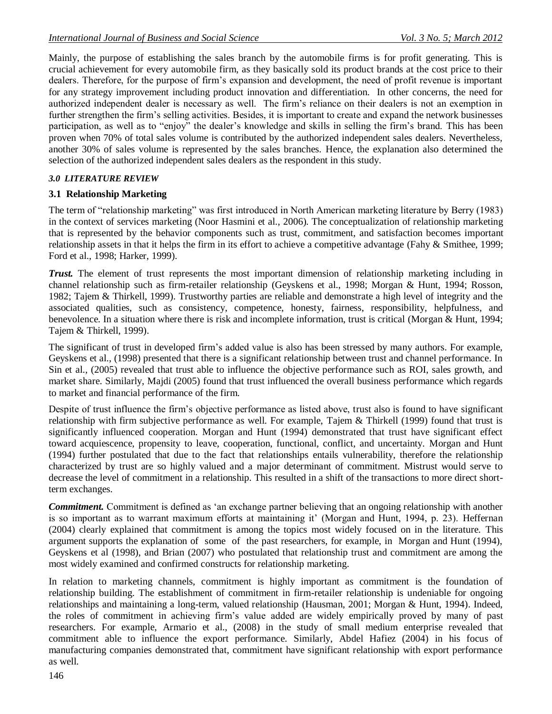Mainly, the purpose of establishing the sales branch by the automobile firms is for profit generating. This is crucial achievement for every automobile firm, as they basically sold its product brands at the cost price to their dealers. Therefore, for the purpose of firm"s expansion and development, the need of profit revenue is important for any strategy improvement including product innovation and differentiation. In other concerns, the need for authorized independent dealer is necessary as well. The firm"s reliance on their dealers is not an exemption in further strengthen the firm's selling activities. Besides, it is important to create and expand the network businesses participation, as well as to "enjoy" the dealer"s knowledge and skills in selling the firm"s brand. This has been proven when 70% of total sales volume is contributed by the authorized independent sales dealers. Nevertheless, another 30% of sales volume is represented by the sales branches. Hence, the explanation also determined the selection of the authorized independent sales dealers as the respondent in this study.

# *3.0 LITERATURE REVIEW*

# **3.1 Relationship Marketing**

The term of "relationship marketing" was first introduced in North American marketing literature by Berry (1983) in the context of services marketing (Noor Hasmini et al., 2006). The conceptualization of relationship marketing that is represented by the behavior components such as trust, commitment, and satisfaction becomes important relationship assets in that it helps the firm in its effort to achieve a competitive advantage (Fahy & Smithee, 1999; Ford et al., 1998; Harker, 1999).

*Trust.* The element of trust represents the most important dimension of relationship marketing including in channel relationship such as firm-retailer relationship (Geyskens et al., 1998; Morgan & Hunt, 1994; Rosson, 1982; Tajem & Thirkell, 1999). Trustworthy parties are reliable and demonstrate a high level of integrity and the associated qualities, such as consistency, competence, honesty, fairness, responsibility, helpfulness, and benevolence. In a situation where there is risk and incomplete information, trust is critical (Morgan & Hunt, 1994; Tajem & Thirkell, 1999).

The significant of trust in developed firm"s added value is also has been stressed by many authors. For example, Geyskens et al., (1998) presented that there is a significant relationship between trust and channel performance. In Sin et al., (2005) revealed that trust able to influence the objective performance such as ROI, sales growth, and market share. Similarly, Majdi (2005) found that trust influenced the overall business performance which regards to market and financial performance of the firm.

Despite of trust influence the firm"s objective performance as listed above, trust also is found to have significant relationship with firm subjective performance as well. For example, Tajem & Thirkell (1999) found that trust is significantly influenced cooperation. Morgan and Hunt (1994) demonstrated that trust have significant effect toward acquiescence, propensity to leave, cooperation, functional, conflict, and uncertainty. Morgan and Hunt (1994) further postulated that due to the fact that relationships entails vulnerability, therefore the relationship characterized by trust are so highly valued and a major determinant of commitment. Mistrust would serve to decrease the level of commitment in a relationship. This resulted in a shift of the transactions to more direct shortterm exchanges.

*Commitment.* Commitment is defined as "an exchange partner believing that an ongoing relationship with another is so important as to warrant maximum efforts at maintaining it' (Morgan and Hunt, 1994, p. 23). Heffernan (2004) clearly explained that commitment is among the topics most widely focused on in the literature. This argument supports the explanation of some of the past researchers, for example, in Morgan and Hunt (1994), Geyskens et al (1998), and Brian (2007) who postulated that relationship trust and commitment are among the most widely examined and confirmed constructs for relationship marketing.

In relation to marketing channels, commitment is highly important as commitment is the foundation of relationship building. The establishment of commitment in firm-retailer relationship is undeniable for ongoing relationships and maintaining a long-term, valued relationship (Hausman, 2001; Morgan & Hunt, 1994). Indeed, the roles of commitment in achieving firm"s value added are widely empirically proved by many of past researchers. For example, Armario et al., (2008) in the study of small medium enterprise revealed that commitment able to influence the export performance. Similarly, Abdel Hafiez (2004) in his focus of manufacturing companies demonstrated that, commitment have significant relationship with export performance as well.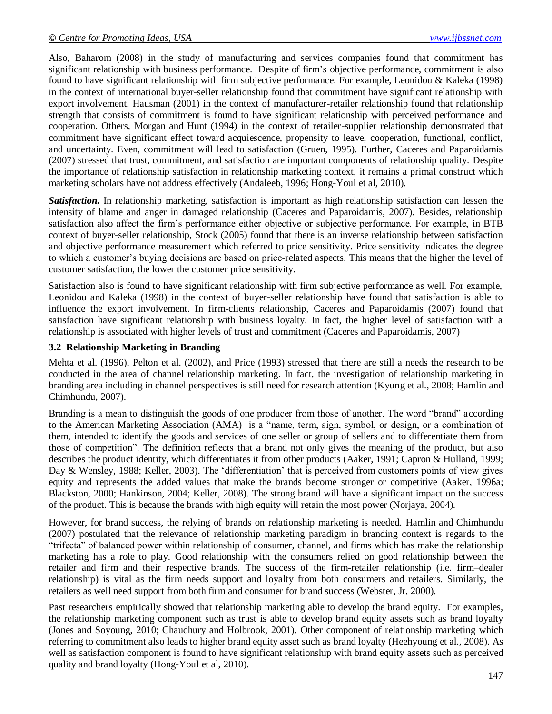Also, Baharom (2008) in the study of manufacturing and services companies found that commitment has significant relationship with business performance. Despite of firm"s objective performance, commitment is also found to have significant relationship with firm subjective performance. For example, Leonidou & Kaleka (1998) in the context of international buyer-seller relationship found that commitment have significant relationship with export involvement. Hausman (2001) in the context of manufacturer-retailer relationship found that relationship strength that consists of commitment is found to have significant relationship with perceived performance and cooperation. Others, Morgan and Hunt (1994) in the context of retailer-supplier relationship demonstrated that commitment have significant effect toward acquiescence, propensity to leave, cooperation, functional, conflict, and uncertainty. Even, commitment will lead to satisfaction (Gruen, 1995). Further, Caceres and Paparoidamis (2007) stressed that trust, commitment, and satisfaction are important components of relationship quality. Despite the importance of relationship satisfaction in relationship marketing context, it remains a primal construct which marketing scholars have not address effectively (Andaleeb, 1996; Hong-Youl et al, 2010).

*Satisfaction.* In relationship marketing, satisfaction is important as high relationship satisfaction can lessen the intensity of blame and anger in damaged relationship (Caceres and Paparoidamis, 2007). Besides, relationship satisfaction also affect the firm's performance either objective or subjective performance. For example, in BTB context of buyer-seller relationship, Stock (2005) found that there is an inverse relationship between satisfaction and objective performance measurement which referred to price sensitivity. Price sensitivity indicates the degree to which a customer"s buying decisions are based on price-related aspects. This means that the higher the level of customer satisfaction, the lower the customer price sensitivity.

Satisfaction also is found to have significant relationship with firm subjective performance as well. For example, Leonidou and Kaleka (1998) in the context of buyer-seller relationship have found that satisfaction is able to influence the export involvement. In firm-clients relationship, Caceres and Paparoidamis (2007) found that satisfaction have significant relationship with business loyalty. In fact, the higher level of satisfaction with a relationship is associated with higher levels of trust and commitment (Caceres and Paparoidamis, 2007)

### **3.2 Relationship Marketing in Branding**

Mehta et al. (1996), Pelton et al. (2002), and Price (1993) stressed that there are still a needs the research to be conducted in the area of channel relationship marketing. In fact, the investigation of relationship marketing in branding area including in channel perspectives is still need for research attention (Kyung et al., 2008; Hamlin and Chimhundu, 2007).

Branding is a mean to distinguish the goods of one producer from those of another. The word "brand" according to the American Marketing Association (AMA) is a "name, term, sign, symbol, or design, or a combination of them, intended to identify the goods and services of one seller or group of sellers and to differentiate them from those of competition". The definition reflects that a brand not only gives the meaning of the product, but also describes the product identity, which differentiates it from other products (Aaker, 1991; Capron & Hulland, 1999; Day & Wensley, 1988; Keller, 2003). The "differentiation" that is perceived from customers points of view gives equity and represents the added values that make the brands become stronger or competitive (Aaker, 1996a; Blackston, 2000; Hankinson, 2004; Keller, 2008). The strong brand will have a significant impact on the success of the product. This is because the brands with high equity will retain the most power (Norjaya, 2004).

However, for brand success, the relying of brands on relationship marketing is needed. Hamlin and Chimhundu (2007) postulated that the relevance of relationship marketing paradigm in branding context is regards to the "trifecta" of balanced power within relationship of consumer, channel, and firms which has make the relationship marketing has a role to play. Good relationship with the consumers relied on good relationship between the retailer and firm and their respective brands. The success of the firm-retailer relationship (i.e. firm–dealer relationship) is vital as the firm needs support and loyalty from both consumers and retailers. Similarly, the retailers as well need support from both firm and consumer for brand success (Webster, Jr, 2000).

Past researchers empirically showed that relationship marketing able to develop the brand equity. For examples, the relationship marketing component such as trust is able to develop brand equity assets such as brand loyalty (Jones and Soyoung, 2010; Chaudhury and Holbrook, 2001). Other component of relationship marketing which referring to commitment also leads to higher brand equity asset such as brand loyalty (Heehyoung et al., 2008). As well as satisfaction component is found to have significant relationship with brand equity assets such as perceived quality and brand loyalty (Hong-Youl et al, 2010).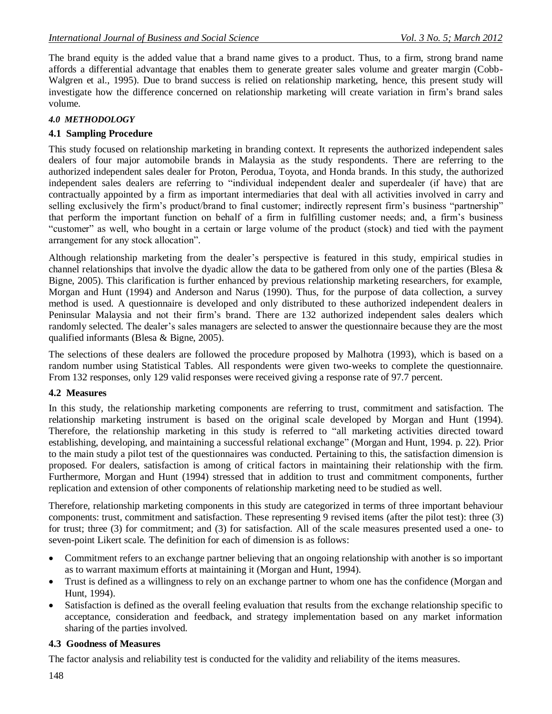The brand equity is the added value that a brand name gives to a product. Thus, to a firm, strong brand name affords a differential advantage that enables them to generate greater sales volume and greater margin (Cobb-Walgren et al., 1995). Due to brand success is relied on relationship marketing, hence, this present study will investigate how the difference concerned on relationship marketing will create variation in firm"s brand sales volume.

# *4.0 METHODOLOGY*

# **4.1 Sampling Procedure**

This study focused on relationship marketing in branding context. It represents the authorized independent sales dealers of four major automobile brands in Malaysia as the study respondents. There are referring to the authorized independent sales dealer for Proton, Perodua, Toyota, and Honda brands. In this study, the authorized independent sales dealers are referring to "individual independent dealer and superdealer (if have) that are contractually appointed by a firm as important intermediaries that deal with all activities involved in carry and selling exclusively the firm's product/brand to final customer; indirectly represent firm's business "partnership" that perform the important function on behalf of a firm in fulfilling customer needs; and, a firm"s business "customer" as well, who bought in a certain or large volume of the product (stock) and tied with the payment arrangement for any stock allocation".

Although relationship marketing from the dealer"s perspective is featured in this study, empirical studies in channel relationships that involve the dyadic allow the data to be gathered from only one of the parties (Blesa  $\&$ Bigne, 2005). This clarification is further enhanced by previous relationship marketing researchers, for example, Morgan and Hunt (1994) and Anderson and Narus (1990). Thus, for the purpose of data collection, a survey method is used. A questionnaire is developed and only distributed to these authorized independent dealers in Peninsular Malaysia and not their firm"s brand. There are 132 authorized independent sales dealers which randomly selected. The dealer's sales managers are selected to answer the questionnaire because they are the most qualified informants (Blesa & Bigne, 2005).

The selections of these dealers are followed the procedure proposed by Malhotra (1993), which is based on a random number using Statistical Tables. All respondents were given two-weeks to complete the questionnaire. From 132 responses, only 129 valid responses were received giving a response rate of 97.7 percent.

# **4.2 Measures**

In this study, the relationship marketing components are referring to trust, commitment and satisfaction. The relationship marketing instrument is based on the original scale developed by Morgan and Hunt (1994). Therefore, the relationship marketing in this study is referred to "all marketing activities directed toward establishing, developing, and maintaining a successful relational exchange" (Morgan and Hunt, 1994. p. 22). Prior to the main study a pilot test of the questionnaires was conducted. Pertaining to this, the satisfaction dimension is proposed. For dealers, satisfaction is among of critical factors in maintaining their relationship with the firm. Furthermore, Morgan and Hunt (1994) stressed that in addition to trust and commitment components, further replication and extension of other components of relationship marketing need to be studied as well.

Therefore, relationship marketing components in this study are categorized in terms of three important behaviour components: trust, commitment and satisfaction. These representing 9 revised items (after the pilot test): three (3) for trust; three (3) for commitment; and (3) for satisfaction. All of the scale measures presented used a one- to seven-point Likert scale. The definition for each of dimension is as follows:

- Commitment refers to an exchange partner believing that an ongoing relationship with another is so important as to warrant maximum efforts at maintaining it (Morgan and Hunt, 1994).
- Trust is defined as a willingness to rely on an exchange partner to whom one has the confidence (Morgan and Hunt, 1994).
- Satisfaction is defined as the overall feeling evaluation that results from the exchange relationship specific to acceptance, consideration and feedback, and strategy implementation based on any market information sharing of the parties involved.

# **4.3 Goodness of Measures**

The factor analysis and reliability test is conducted for the validity and reliability of the items measures.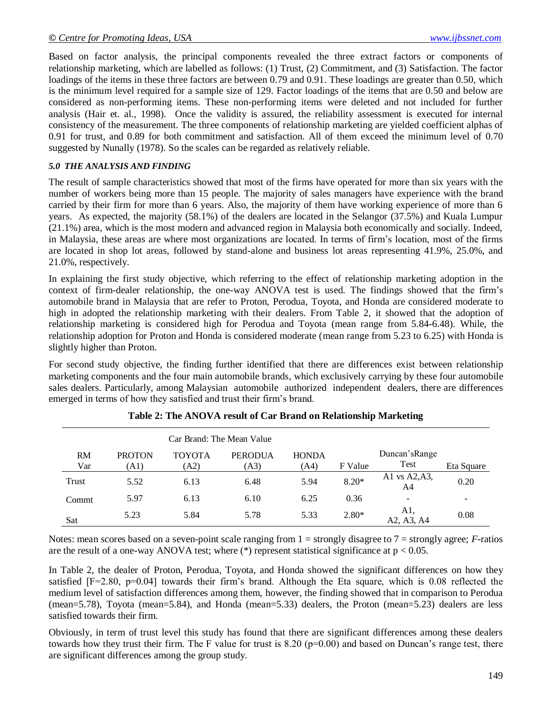Based on factor analysis, the principal components revealed the three extract factors or components of relationship marketing, which are labelled as follows: (1) Trust, (2) Commitment, and (3) Satisfaction. The factor loadings of the items in these three factors are between 0.79 and 0.91. These loadings are greater than 0.50, which is the minimum level required for a sample size of 129. Factor loadings of the items that are 0.50 and below are considered as non-performing items. These non-performing items were deleted and not included for further analysis (Hair et. al., 1998). Once the validity is assured, the reliability assessment is executed for internal consistency of the measurement. The three components of relationship marketing are yielded coefficient alphas of 0.91 for trust, and 0.89 for both commitment and satisfaction. All of them exceed the minimum level of 0.70 suggested by Nunally (1978). So the scales can be regarded as relatively reliable.

### *5.0 THE ANALYSIS AND FINDING*

The result of sample characteristics showed that most of the firms have operated for more than six years with the number of workers being more than 15 people. The majority of sales managers have experience with the brand carried by their firm for more than 6 years. Also, the majority of them have working experience of more than 6 years. As expected, the majority (58.1%) of the dealers are located in the Selangor (37.5%) and Kuala Lumpur (21.1%) area, which is the most modern and advanced region in Malaysia both economically and socially. Indeed, in Malaysia, these areas are where most organizations are located. In terms of firm"s location, most of the firms are located in shop lot areas, followed by stand-alone and business lot areas representing 41.9%, 25.0%, and 21.0%, respectively.

In explaining the first study objective, which referring to the effect of relationship marketing adoption in the context of firm-dealer relationship, the one-way ANOVA test is used. The findings showed that the firm"s automobile brand in Malaysia that are refer to Proton, Perodua, Toyota, and Honda are considered moderate to high in adopted the relationship marketing with their dealers. From Table 2, it showed that the adoption of relationship marketing is considered high for Perodua and Toyota (mean range from 5.84-6.48). While, the relationship adoption for Proton and Honda is considered moderate (mean range from 5.23 to 6.25) with Honda is slightly higher than Proton.

For second study objective, the finding further identified that there are differences exist between relationship marketing components and the four main automobile brands, which exclusively carrying by these four automobile sales dealers. Particularly, among Malaysian automobile authorized independent dealers, there are differences emerged in terms of how they satisfied and trust their firm"s brand.

|                  |                       | Car Brand: The Mean Value |                        |                      |         |                          |            |
|------------------|-----------------------|---------------------------|------------------------|----------------------|---------|--------------------------|------------|
| <b>RM</b><br>Var | <b>PROTON</b><br>(A1) | <b>TOYOTA</b><br>(A2)     | <b>PERODUA</b><br>(A3) | <b>HONDA</b><br>(A4) | F Value | Duncan's Range<br>Test   | Eta Square |
| Trust            | 5.52                  | 6.13                      | 6.48                   | 5.94                 | $8.20*$ | A1 vs A2, A3,<br>A4      | 0.20       |
| Commt            | 5.97                  | 6.13                      | 6.10                   | 6.25                 | 0.36    | $\overline{\phantom{0}}$ | ۰          |
| Sat              | 5.23                  | 5.84                      | 5.78                   | 5.33                 | $2.80*$ | A1.<br>A2, A3, A4        | 0.08       |

# **Table 2: The ANOVA result of Car Brand on Relationship Marketing**

Notes: mean scores based on a seven-point scale ranging from 1 = strongly disagree to 7 = strongly agree; *F-*ratios are the result of a one-way ANOVA test; where  $(*)$  represent statistical significance at  $p < 0.05$ .

In Table 2, the dealer of Proton, Perodua, Toyota, and Honda showed the significant differences on how they satisfied [F=2.80, p=0.04] towards their firm"s brand. Although the Eta square, which is 0.08 reflected the medium level of satisfaction differences among them, however, the finding showed that in comparison to Perodua (mean=5.78), Toyota (mean=5.84), and Honda (mean=5.33) dealers, the Proton (mean=5.23) dealers are less satisfied towards their firm.

Obviously, in term of trust level this study has found that there are significant differences among these dealers towards how they trust their firm. The F value for trust is  $8.20$  ( $p=0.00$ ) and based on Duncan's range test, there are significant differences among the group study.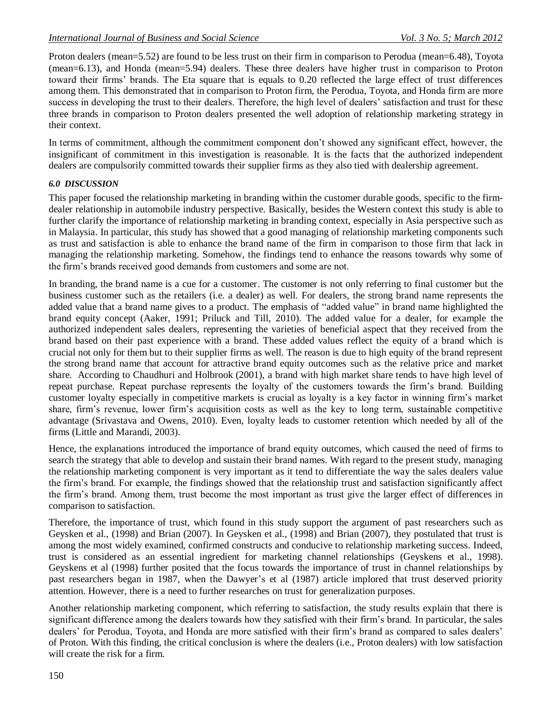Proton dealers (mean=5.52) are found to be less trust on their firm in comparison to Perodua (mean=6.48), Toyota (mean=6.13), and Honda (mean=5.94) dealers. These three dealers have higher trust in comparison to Proton toward their firms" brands. The Eta square that is equals to 0.20 reflected the large effect of trust differences among them. This demonstrated that in comparison to Proton firm, the Perodua, Toyota, and Honda firm are more success in developing the trust to their dealers. Therefore, the high level of dealers' satisfaction and trust for these three brands in comparison to Proton dealers presented the well adoption of relationship marketing strategy in their context.

In terms of commitment, although the commitment component don"t showed any significant effect, however, the insignificant of commitment in this investigation is reasonable. It is the facts that the authorized independent dealers are compulsorily committed towards their supplier firms as they also tied with dealership agreement.

### *6.0 DISCUSSION*

This paper focused the relationship marketing in branding within the customer durable goods, specific to the firmdealer relationship in automobile industry perspective. Basically, besides the Western context this study is able to further clarify the importance of relationship marketing in branding context, especially in Asia perspective such as in Malaysia. In particular, this study has showed that a good managing of relationship marketing components such as trust and satisfaction is able to enhance the brand name of the firm in comparison to those firm that lack in managing the relationship marketing. Somehow, the findings tend to enhance the reasons towards why some of the firm"s brands received good demands from customers and some are not.

In branding, the brand name is a cue for a customer. The customer is not only referring to final customer but the business customer such as the retailers (i.e. a dealer) as well. For dealers, the strong brand name represents the added value that a brand name gives to a product. The emphasis of "added value" in brand name highlighted the brand equity concept (Aaker, 1991; Priluck and Till, 2010). The added value for a dealer, for example the authorized independent sales dealers, representing the varieties of beneficial aspect that they received from the brand based on their past experience with a brand. These added values reflect the equity of a brand which is crucial not only for them but to their supplier firms as well. The reason is due to high equity of the brand represent the strong brand name that account for attractive brand equity outcomes such as the relative price and market share. According to Chaudhuri and Holbrook (2001), a brand with high market share tends to have high level of repeat purchase. Repeat purchase represents the loyalty of the customers towards the firm"s brand. Building customer loyalty especially in competitive markets is crucial as loyalty is a key factor in winning firm"s market share, firm"s revenue, lower firm"s acquisition costs as well as the key to long term, sustainable competitive advantage (Srivastava and Owens, 2010). Even, loyalty leads to customer retention which needed by all of the firms (Little and Marandi, 2003).

Hence, the explanations introduced the importance of brand equity outcomes, which caused the need of firms to search the strategy that able to develop and sustain their brand names. With regard to the present study, managing the relationship marketing component is very important as it tend to differentiate the way the sales dealers value the firm"s brand. For example, the findings showed that the relationship trust and satisfaction significantly affect the firm"s brand. Among them, trust become the most important as trust give the larger effect of differences in comparison to satisfaction.

Therefore, the importance of trust, which found in this study support the argument of past researchers such as Geysken et al., (1998) and Brian (2007). In Geysken et al., (1998) and Brian (2007), they postulated that trust is among the most widely examined, confirmed constructs and conducive to relationship marketing success. Indeed, trust is considered as an essential ingredient for marketing channel relationships (Geyskens et al., 1998). Geyskens et al (1998) further posited that the focus towards the importance of trust in channel relationships by past researchers began in 1987, when the Dawyer's et al (1987) article implored that trust deserved priority attention. However, there is a need to further researches on trust for generalization purposes.

Another relationship marketing component, which referring to satisfaction, the study results explain that there is significant difference among the dealers towards how they satisfied with their firm"s brand. In particular, the sales dealers' for Perodua, Toyota, and Honda are more satisfied with their firm's brand as compared to sales dealers' of Proton. With this finding, the critical conclusion is where the dealers (i.e., Proton dealers) with low satisfaction will create the risk for a firm.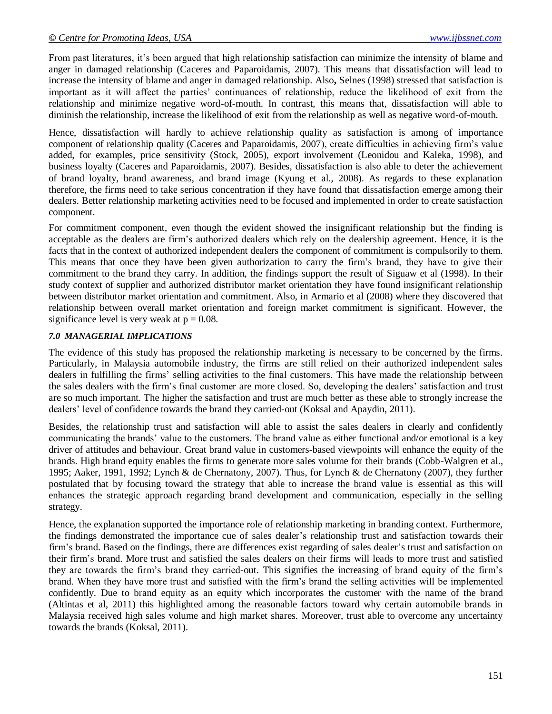From past literatures, it's been argued that high relationship satisfaction can minimize the intensity of blame and anger in damaged relationship (Caceres and Paparoidamis, 2007). This means that dissatisfaction will lead to increase the intensity of blame and anger in damaged relationship. Also**,** Selnes (1998) stressed that satisfaction is important as it will affect the parties" continuances of relationship, reduce the likelihood of exit from the relationship and minimize negative word-of-mouth. In contrast, this means that, dissatisfaction will able to diminish the relationship, increase the likelihood of exit from the relationship as well as negative word-of-mouth.

Hence, dissatisfaction will hardly to achieve relationship quality as satisfaction is among of importance component of relationship quality (Caceres and Paparoidamis, 2007), create difficulties in achieving firm"s value added, for examples, price sensitivity (Stock, 2005), export involvement (Leonidou and Kaleka, 1998), and business loyalty (Caceres and Paparoidamis, 2007). Besides, dissatisfaction is also able to deter the achievement of brand loyalty, brand awareness, and brand image (Kyung et al., 2008). As regards to these explanation therefore, the firms need to take serious concentration if they have found that dissatisfaction emerge among their dealers. Better relationship marketing activities need to be focused and implemented in order to create satisfaction component.

For commitment component, even though the evident showed the insignificant relationship but the finding is acceptable as the dealers are firm"s authorized dealers which rely on the dealership agreement. Hence, it is the facts that in the context of authorized independent dealers the component of commitment is compulsorily to them. This means that once they have been given authorization to carry the firm"s brand, they have to give their commitment to the brand they carry. In addition, the findings support the result of Siguaw et al (1998). In their study context of supplier and authorized distributor market orientation they have found insignificant relationship between distributor market orientation and commitment. Also, in Armario et al (2008) where they discovered that relationship between overall market orientation and foreign market commitment is significant. However, the significance level is very weak at  $p = 0.08$ .

### *7.0 MANAGERIAL IMPLICATIONS*

The evidence of this study has proposed the relationship marketing is necessary to be concerned by the firms. Particularly, in Malaysia automobile industry, the firms are still relied on their authorized independent sales dealers in fulfilling the firms' selling activities to the final customers. This have made the relationship between the sales dealers with the firm's final customer are more closed. So, developing the dealers' satisfaction and trust are so much important. The higher the satisfaction and trust are much better as these able to strongly increase the dealers" level of confidence towards the brand they carried-out (Koksal and Apaydin, 2011).

Besides, the relationship trust and satisfaction will able to assist the sales dealers in clearly and confidently communicating the brands" value to the customers. The brand value as either functional and/or emotional is a key driver of attitudes and behaviour. Great brand value in customers-based viewpoints will enhance the equity of the brands. High brand equity enables the firms to generate more sales volume for their brands (Cobb-Walgren et al., 1995; Aaker, 1991, 1992; Lynch & de Chernatony, 2007). Thus, for Lynch & de Chernatony (2007), they further postulated that by focusing toward the strategy that able to increase the brand value is essential as this will enhances the strategic approach regarding brand development and communication, especially in the selling strategy.

Hence, the explanation supported the importance role of relationship marketing in branding context. Furthermore, the findings demonstrated the importance cue of sales dealer"s relationship trust and satisfaction towards their firm"s brand. Based on the findings, there are differences exist regarding of sales dealer"s trust and satisfaction on their firm"s brand. More trust and satisfied the sales dealers on their firms will leads to more trust and satisfied they are towards the firm"s brand they carried-out. This signifies the increasing of brand equity of the firm"s brand. When they have more trust and satisfied with the firm"s brand the selling activities will be implemented confidently. Due to brand equity as an equity which incorporates the customer with the name of the brand (Altintas et al, 2011) this highlighted among the reasonable factors toward why certain automobile brands in Malaysia received high sales volume and high market shares. Moreover, trust able to overcome any uncertainty towards the brands (Koksal, 2011).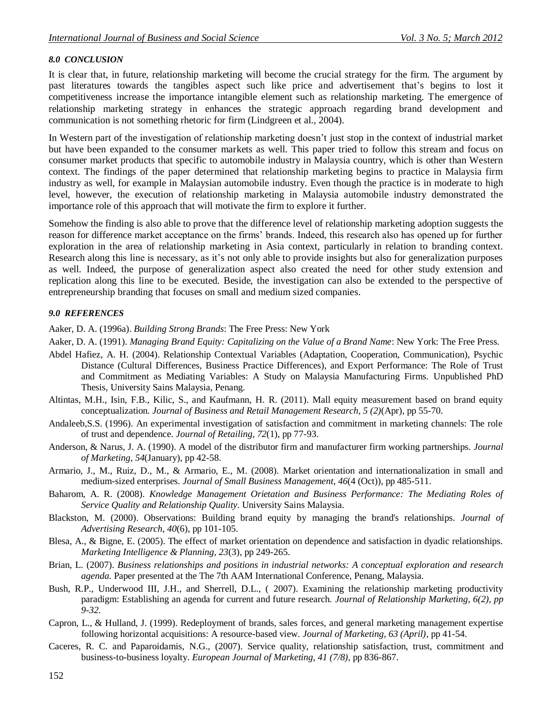### *8.0 CONCLUSION*

It is clear that, in future, relationship marketing will become the crucial strategy for the firm. The argument by past literatures towards the tangibles aspect such like price and advertisement that"s begins to lost it competitiveness increase the importance intangible element such as relationship marketing. The emergence of relationship marketing strategy in enhances the strategic approach regarding brand development and communication is not something rhetoric for firm (Lindgreen et al., 2004).

In Western part of the investigation of relationship marketing doesn"t just stop in the context of industrial market but have been expanded to the consumer markets as well. This paper tried to follow this stream and focus on consumer market products that specific to automobile industry in Malaysia country, which is other than Western context. The findings of the paper determined that relationship marketing begins to practice in Malaysia firm industry as well, for example in Malaysian automobile industry. Even though the practice is in moderate to high level, however, the execution of relationship marketing in Malaysia automobile industry demonstrated the importance role of this approach that will motivate the firm to explore it further.

Somehow the finding is also able to prove that the difference level of relationship marketing adoption suggests the reason for difference market acceptance on the firms" brands. Indeed, this research also has opened up for further exploration in the area of relationship marketing in Asia context, particularly in relation to branding context. Research along this line is necessary, as it's not only able to provide insights but also for generalization purposes as well. Indeed, the purpose of generalization aspect also created the need for other study extension and replication along this line to be executed. Beside, the investigation can also be extended to the perspective of entrepreneurship branding that focuses on small and medium sized companies.

### *9.0 REFERENCES*

Aaker, D. A. (1996a). *Building Strong Brands*: The Free Press: New York

Aaker, D. A. (1991). *Managing Brand Equity: Capitalizing on the Value of a Brand Name*: New York: The Free Press.

- Abdel Hafiez, A. H. (2004). Relationship Contextual Variables (Adaptation, Cooperation, Communication), Psychic Distance (Cultural Differences, Business Practice Differences), and Export Performance: The Role of Trust and Commitment as Mediating Variables: A Study on Malaysia Manufacturing Firms. Unpublished PhD Thesis, University Sains Malaysia, Penang.
- Altintas, M.H., Isin, F.B., Kilic, S., and Kaufmann, H. R. (2011). Mall equity measurement based on brand equity conceptualization. *Journal of Business and Retail Management Research, 5 (2)*(Apr), pp 55-70.
- Andaleeb,S.S. (1996). An experimental investigation of satisfaction and commitment in marketing channels: The role of trust and dependence. *Journal of Retailing, 72*(1), pp 77-93.
- Anderson, & Narus, J. A. (1990). A model of the distributor firm and manufacturer firm working partnerships. *Journal of Marketing, 54*(January), pp 42-58.
- Armario, J., M., Ruiz, D., M., & Armario, E., M. (2008). Market orientation and internationalization in small and medium-sized enterprises. *Journal of Small Business Management, 46*(4 (Oct)), pp 485-511.
- Baharom, A. R. (2008). *Knowledge Management Orietation and Business Performance: The Mediating Roles of Service Quality and Relationship Quality.* University Sains Malaysia.
- Blackston, M. (2000). Observations: Building brand equity by managing the brand's relationships. *Journal of Advertising Research, 40*(6), pp 101-105.
- Blesa, A., & Bigne, E. (2005). The effect of market orientation on dependence and satisfaction in dyadic relationships. *Marketing Intelligence & Planning, 23*(3), pp 249-265.
- Brian, L. (2007). *Business relationships and positions in industrial networks: A conceptual exploration and research agenda.* Paper presented at the The 7th AAM International Conference, Penang, Malaysia.
- Bush, R.P., Underwood III, J.H., and Sherrell, D.L., ( 2007). Examining the relationship marketing productivity paradigm: Establishing an agenda for current and future research. *Journal of Relationship Marketing, 6(2), pp 9-32.*
- Capron, L., & Hulland, J. (1999). Redeployment of brands, sales forces, and general marketing management expertise following horizontal acquisitions: A resource-based view. *Journal of Marketing, 63 (April)*, pp 41-54.
- Caceres, R. C. and Paparoidamis, N.G., (2007). Service quality, relationship satisfaction, trust, commitment and business-to-business loyalty. *European Journal of Marketing, 41 (7/8)*, pp 836-867.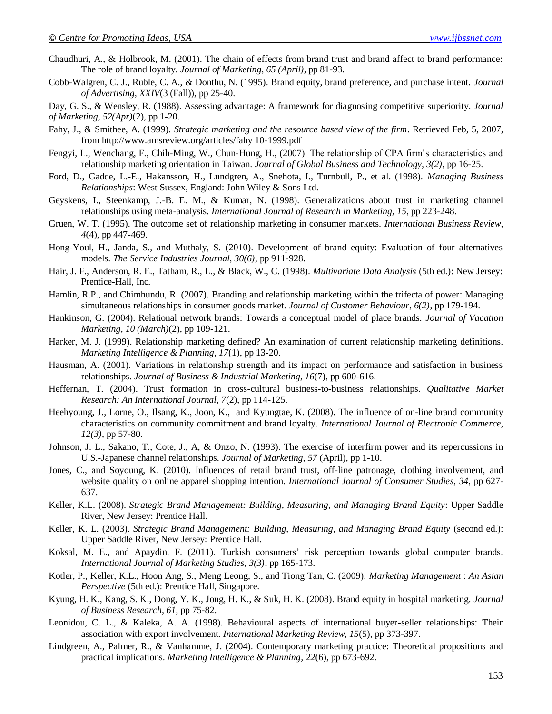- Chaudhuri, A., & Holbrook, M. (2001). The chain of effects from brand trust and brand affect to brand performance: The role of brand loyalty. *Journal of Marketing, 65 (April)*, pp 81-93.
- Cobb-Walgren, C. J., Ruble, C. A., & Donthu, N. (1995). Brand equity, brand preference, and purchase intent. *Journal of Advertising, XXIV*(3 (Fall)), pp 25-40.
- Day, G. S., & Wensley, R. (1988). Assessing advantage: A framework for diagnosing competitive superiority. *Journal of Marketing, 52(Apr)*(2), pp 1-20.
- Fahy, J., & Smithee, A. (1999). *Strategic marketing and the resource based view of the firm*. Retrieved Feb, 5, 2007, from [http://www.amsreview.org/articles/fahy 10-1999.pdf](http://www.amsreview.org/articles/fahy%2010-1999.pdf)
- Fengyi, L., Wenchang, F., Chih-Ming, W., Chun-Hung, H., (2007). The relationship of CPA firm"s characteristics and relationship marketing orientation in Taiwan. *Journal of Global Business and Technology, 3(2)*, pp 16-25.
- Ford, D., Gadde, L.-E., Hakansson, H., Lundgren, A., Snehota, I., Turnbull, P., et al. (1998). *Managing Business Relationships*: West Sussex, England: John Wiley & Sons Ltd.
- Geyskens, I., Steenkamp, J.-B. E. M., & Kumar, N. (1998). Generalizations about trust in marketing channel relationships using meta-analysis. *International Journal of Research in Marketing, 15*, pp 223-248.
- Gruen, W. T. (1995). The outcome set of relationship marketing in consumer markets. *International Business Review, 4*(4), pp 447-469.
- Hong-Youl, H., Janda, S., and Muthaly, S. (2010). Development of brand equity: Evaluation of four alternatives models. *The Service Industries Journal, 30(6)*, pp 911-928.
- Hair, J. F., Anderson, R. E., Tatham, R., L., & Black, W., C. (1998). *Multivariate Data Analysis* (5th ed.): New Jersey: Prentice-Hall, Inc.
- Hamlin, R.P., and Chimhundu, R. (2007). Branding and relationship marketing within the trifecta of power: Managing simultaneous relationships in consumer goods market. *Journal of Customer Behaviour, 6(2)*, pp 179-194.
- Hankinson, G. (2004). Relational network brands: Towards a conceptual model of place brands. *Journal of Vacation Marketing, 10 (March)*(2), pp 109-121.
- Harker, M. J. (1999). Relationship marketing defined? An examination of current relationship marketing definitions. *Marketing Intelligence & Planning, 17*(1), pp 13-20.
- Hausman, A. (2001). Variations in relationship strength and its impact on performance and satisfaction in business relationships. *Journal of Business & Industrial Marketing, 16*(7), pp 600-616.
- Heffernan, T. (2004). Trust formation in cross-cultural business-to-business relationships. *Qualitative Market Research: An International Journal, 7*(2), pp 114-125.
- Heehyoung, J., Lorne, O., Ilsang, K., Joon, K., and Kyungtae, K. (2008). The influence of on-line brand community characteristics on community commitment and brand loyalty. *International Journal of Electronic Commerce, 12(3)*, pp 57-80.
- Johnson, J. L., Sakano, T., Cote, J., A, & Onzo, N. (1993). The exercise of interfirm power and its repercussions in U.S.-Japanese channel relationships. *Journal of Marketing, 57* (April), pp 1-10.
- Jones, C., and Soyoung, K. (2010). Influences of retail brand trust, off-line patronage, clothing involvement, and website quality on online apparel shopping intention. *International Journal of Consumer Studies, 34*, pp 627- 637.
- Keller, K.L. (2008). *Strategic Brand Management: Building, Measuring, and Managing Brand Equity*: Upper Saddle River, New Jersey: Prentice Hall.
- Keller, K. L. (2003). *Strategic Brand Management: Building, Measuring, and Managing Brand Equity* (second ed.): Upper Saddle River, New Jersey: Prentice Hall.
- Koksal, M. E., and Apaydin, F. (2011). Turkish consumers' risk perception towards global computer brands. *International Journal of Marketing Studies, 3(3)*, pp 165-173.
- Kotler, P., Keller, K.L., Hoon Ang, S., Meng Leong, S., and Tiong Tan, C. (2009). *Marketing Management* : *An Asian Perspective* (5th ed.): Prentice Hall, Singapore.
- Kyung, H. K., Kang, S. K., Dong, Y. K., Jong, H. K., & Suk, H. K. (2008). Brand equity in hospital marketing. *Journal of Business Research, 61*, pp 75-82.
- Leonidou, C. L., & Kaleka, A. A. (1998). Behavioural aspects of international buyer-seller relationships: Their association with export involvement. *International Marketing Review, 15*(5), pp 373-397.
- Lindgreen, A., Palmer, R., & Vanhamme, J. (2004). Contemporary marketing practice: Theoretical propositions and practical implications. *Marketing Intelligence & Planning, 22*(6), pp 673-692.